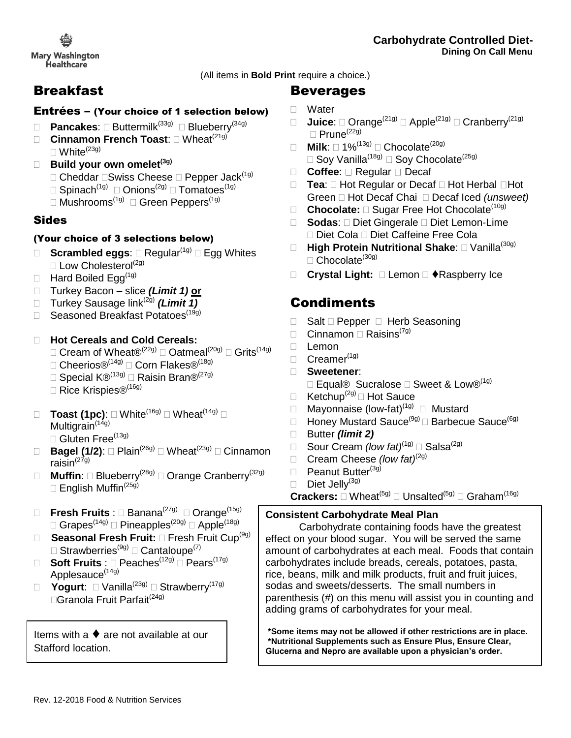(All items in **Bold Print** require a choice.)

## Breakfast

#### Entrées – (Your choice of 1 selection below)

- □ **Pancakes**: □ Buttermilk<sup>(33g)</sup> □ Blueberry<sup>(34g)</sup>
- □ **Cinnamon French Toast:** □ Wheat<sup>(21g)</sup>  $\Box$  White<sup>(23g)</sup>
- **Build your own omelet(3g)**
	- $\Box$  Cheddar  $\Box$ Swiss Cheese  $\Box$  Pepper Jack<sup>(1g)</sup>
	- $\Box$  Spinach $^{(1g)}$   $\Box$  Onions $^{(2g)}$   $\Box$  Tomatoes $^{(1g)}$
	- $\Box$  Mushrooms $^{(1g)}$   $\Box$  Green Peppers $^{(1g)}$

## Sides

#### (Your choice of 3 selections below)

- **Scrambled eggs:**  $\Box$  Regular<sup>(1g)</sup>  $\Box$  Egg Whites  $\square$  Low Cholesterol<sup>(2g)</sup>
- $\Box$  Hard Boiled Egg<sup>(1g)</sup>
- Turkey Bacon slice *(Limit 1)* **or**
- □ Turkey Sausage link<sup>(2g)</sup> (Limit 1)
- □ Seasoned Breakfast Potatoes<sup>(19g)</sup>

#### **Hot Cereals and Cold Cereals:**

- $\square$  Cream of Wheat $\mathfrak{B}^{(22g)}$   $\square$  Oatmeal<sup>(20g)</sup>  $\square$  Grits<sup>(14g)</sup>
- $\Box$  Cheerios®<sup>(14g)</sup>  $\Box$  Corn Flakes®<sup>(18g)</sup>
- □ Special  $\mathsf{K} \circledR^{(13g)}$  □ Raisin Bran $\mathsf{R}^{(27g)}$
- □ Rice Krispies<sup>®(16g)</sup>
- **Toast (1pc)**: White(16g) Wheat(14g) Multigrain $(149)$ 
	- $\square$  Gluten Free<sup>(13g)</sup>
- □ **Bagel (1/2)**: □ Plain<sup>(26g)</sup> □ Wheat<sup>(23g)</sup> □ Cinnamon raisin $(27g)$
- □ Muffin: □ Blueberry<sup>(28g)</sup> □ Orange Cranberry<sup>(32g)</sup>  $\Box$  English Muffin<sup>(25g)</sup>
- □ Fresh Fruits : □ Banana<sup>(27g)</sup> □ Orange<sup>(15g)</sup>  $\Box$  Grapes $^{(14g)}$   $\Box$  Pineapples $^{(20g)}$   $\Box$  Apple $^{(18g)}$
- □ Seasonal Fresh Fruit: □ Fresh Fruit Cup<sup>(9g)</sup>  $\Box$  Strawberries ${}^{(\text{9g})}\Box$  Cantaloupe ${}^{(7)}$
- □ Soft Fruits : □ Peaches<sup>(12g)</sup> □ Pears<sup>(17g)</sup> Applesauce<sup>(14g)</sup>
- **Yogurt**: Vanilla(23g) Strawberry(17g)  $\Box$ Granola Fruit Parfait<sup>(24g)</sup>

Items with a  $\blacklozenge$  are not available at our Stafford location.

## Beverages

- Water
- □ Juice: □ Orange<sup>(21g)</sup> □ Apple<sup>(21g)</sup> □ Cranberry<sup>(21g)</sup>  $\Box$  Prune<sup>(22g)</sup>
- $\Box$  **Milk**:  $\Box$  1%<sup>(13g)</sup>  $\Box$  Chocolate<sup>(20g)</sup>  $\Box$  Soy Vanilla<sup>(18g)</sup>  $\Box$  Soy Chocolate<sup>(25g)</sup>
- □ Coffee: □ Regular □ Decaf
- □ **Tea**: □ Hot Regular or Decaf □ Hot Herbal □Hot Green Hot Decaf Chai Decaf Iced *(unsweet)*
- □ **Chocolate:** □ Sugar Free Hot Chocolate<sup>(10g)</sup>
- □ **Sodas**: □ Diet Gingerale □ Diet Lemon-Lime □ Diet Cola □ Diet Caffeine Free Cola
- □ High Protein Nutritional Shake: □ Vanilla<sup>(30g)</sup>  $\Box$  Chocolate<sup>(30g)</sup>
- □ Crystal Light: □ Lemon □ ◆Raspberry Ice

# **Condiments**

- $\Box$  Salt  $\Box$  Pepper  $\Box$  Herb Seasoning
- $\Box$  Cinnamon  $\Box$  Raisins<sup>(7g)</sup>
- □ Lemon
- $\Box$  Creamer<sup>(1g)</sup>
- **Sweetener**:
	- $\square$  Equal® Sucralose  $\square$  Sweet & Low®<sup>(1g)</sup>
- $\Box$  Ketchup<sup>(2g)</sup>  $\Box$  Hot Sauce
- □ Mayonnaise (low-fat)<sup>(1g)</sup> □ Mustard
- $\Box$  Honey Mustard Sauce<sup>(9g)</sup>  $\Box$  Barbecue Sauce<sup>(6g)</sup>
- Butter *(limit 2)*
- Sour Cream *(low fat)*(1g) Salsa(2g)
- □ Cream Cheese *(low fat)*<sup>(2g)</sup>
- $\Box$  Peanut Butter<sup>(3g)</sup>
- $\Box$  Diet Jelly<sup>(3g)</sup>
- $\mathsf{Crackers} \colon \Box\ \mathsf{Wheat}^{(5g)} \sqsubset \mathsf{Unsalted}^{(5g)} \sqsubset \mathsf{Graham}^{(16g)}$

#### **Consistent Carbohydrate Meal Plan**

 carbohydrates include breads, cereals, potatoes, pasta, Carbohydrate containing foods have the greatest effect on your blood sugar. You will be served the same amount of carbohydrates at each meal. Foods that contain rice, beans, milk and milk products, fruit and fruit juices, sodas and sweets/desserts. The small numbers in parenthesis (#) on this menu will assist you in counting and adding grams of carbohydrates for your meal.

**\*Some items may not be allowed if other restrictions are in place. \*Nutritional Supplements such as Ensure Plus, Ensure Clear, Glucerna and Nepro are available upon a physician's order.**